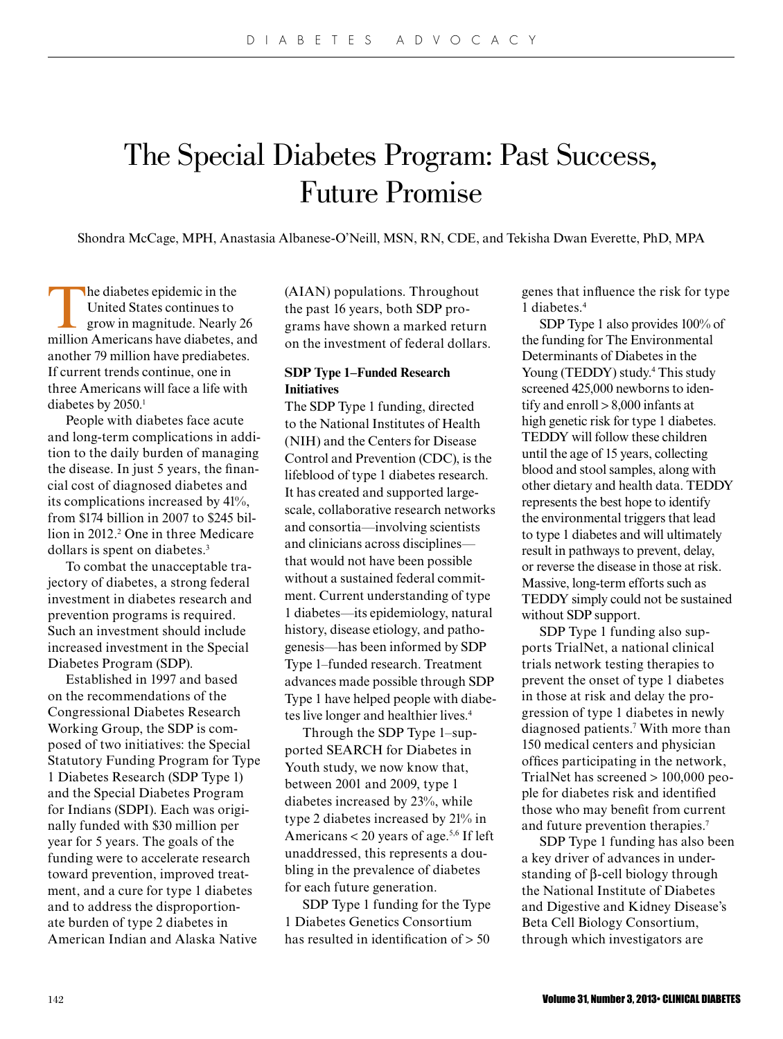# The Special Diabetes Program: Past Success, Future Promise

Shondra McCage, MPH, Anastasia Albanese-O'Neill, MSN, RN, CDE, and Tekisha Dwan Everette, PhD, MPA

The diabetes epidemic in the United States continues to grow in magnitude. Nearly 26 million Americans have diabetes, and another 79 million have prediabetes. If current trends continue, one in three Americans will face a life with diabetes by 2050.<sup>1</sup>

People with diabetes face acute and long-term complications in addition to the daily burden of managing the disease. In just 5 years, the financial cost of diagnosed diabetes and its complications increased by 41%, from \$174 billion in 2007 to \$245 billion in 2012.<sup>2</sup> One in three Medicare dollars is spent on diabetes.<sup>3</sup>

To combat the unacceptable trajectory of diabetes, a strong federal investment in diabetes research and prevention programs is required. Such an investment should include increased investment in the Special Diabetes Program (SDP).

Established in 1997 and based on the recommendations of the Congressional Diabetes Research Working Group, the SDP is composed of two initiatives: the Special Statutory Funding Program for Type 1 Diabetes Research (SDP Type 1) and the Special Diabetes Program for Indians (SDPI). Each was originally funded with \$30 million per year for 5 years. The goals of the funding were to accelerate research toward prevention, improved treatment, and a cure for type 1 diabetes and to address the disproportionate burden of type 2 diabetes in American Indian and Alaska Native

(AIAN) populations. Throughout the past 16 years, both SDP programs have shown a marked return on the investment of federal dollars.

# **SDP Type 1–Funded Research Initiatives**

The SDP Type 1 funding, directed to the National Institutes of Health (NIH) and the Centers for Disease Control and Prevention (CDC), is the lifeblood of type 1 diabetes research. It has created and supported largescale, collaborative research networks and consortia—involving scientists and clinicians across disciplines that would not have been possible without a sustained federal commitment. Current understanding of type 1 diabetes—its epidemiology, natural history, disease etiology, and pathogenesis—has been informed by SDP Type 1–funded research. Treatment advances made possible through SDP Type 1 have helped people with diabetes live longer and healthier lives.<sup>4</sup>

Through the SDP Type 1–supported SEARCH for Diabetes in Youth study, we now know that, between 2001 and 2009, type 1 diabetes increased by 23%, while type 2 diabetes increased by 21% in Americans  $<$  20 years of age.<sup>5,6</sup> If left unaddressed, this represents a doubling in the prevalence of diabetes for each future generation.

SDP Type 1 funding for the Type 1 Diabetes Genetics Consortium has resulted in identification of > 50

genes that influence the risk for type 1 diabetes.<sup>4</sup>

SDP Type 1 also provides 100% of the funding for The Environmental Determinants of Diabetes in the Young (TEDDY) study.<sup>4</sup> This study screened 425,000 newborns to identify and enroll > 8,000 infants at high genetic risk for type 1 diabetes. TEDDY will follow these children until the age of 15 years, collecting blood and stool samples, along with other dietary and health data. TEDDY represents the best hope to identify the environmental triggers that lead to type 1 diabetes and will ultimately result in pathways to prevent, delay, or reverse the disease in those at risk. Massive, long-term efforts such as TEDDY simply could not be sustained without SDP support.

SDP Type 1 funding also supports TrialNet, a national clinical trials network testing therapies to prevent the onset of type 1 diabetes in those at risk and delay the progression of type 1 diabetes in newly diagnosed patients.<sup>7</sup> With more than 150 medical centers and physician offices participating in the network, TrialNet has screened > 100,000 people for diabetes risk and identified those who may benefit from current and future prevention therapies.<sup>7</sup>

SDP Type 1 funding has also been a key driver of advances in understanding of β-cell biology through the National Institute of Diabetes and Digestive and Kidney Disease's Beta Cell Biology Consortium, through which investigators are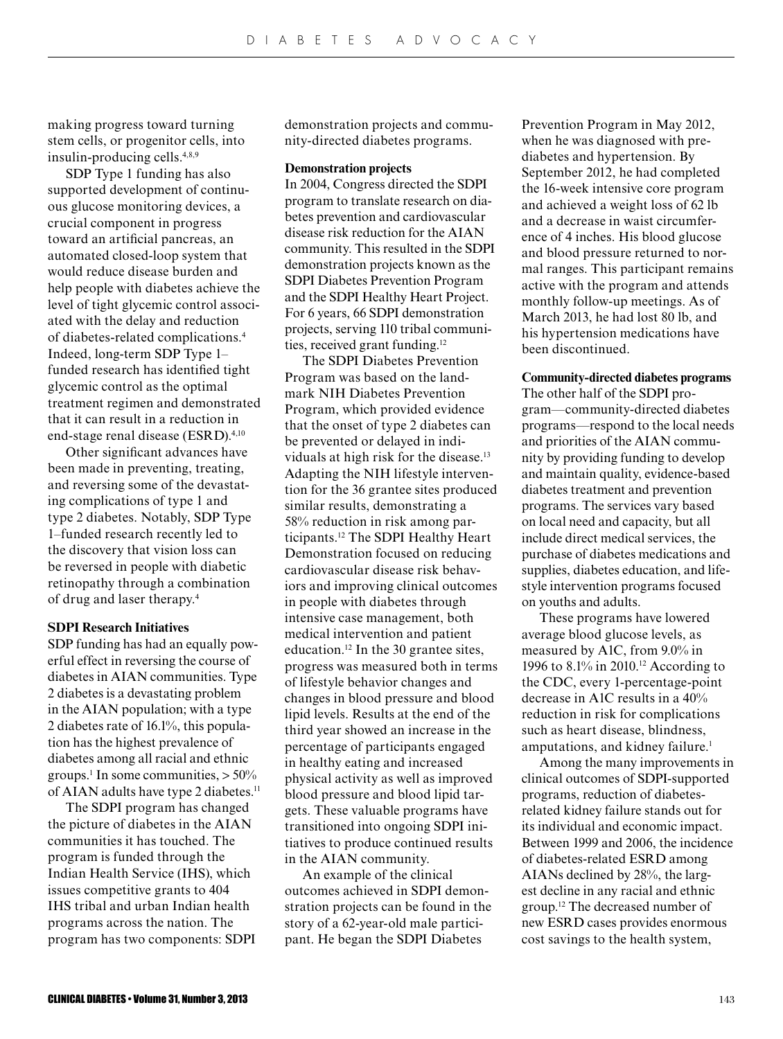making progress toward turning stem cells, or progenitor cells, into insulin-producing cells.4,8,9

SDP Type 1 funding has also supported development of continuous glucose monitoring devices, a crucial component in progress toward an artificial pancreas, an automated closed-loop system that would reduce disease burden and help people with diabetes achieve the level of tight glycemic control associated with the delay and reduction of diabetes-related complications.<sup>4</sup> Indeed, long-term SDP Type 1– funded research has identified tight glycemic control as the optimal treatment regimen and demonstrated that it can result in a reduction in end-stage renal disease (ESRD).<sup>4,10</sup>

Other significant advances have been made in preventing, treating, and reversing some of the devastating complications of type 1 and type 2 diabetes. Notably, SDP Type 1–funded research recently led to the discovery that vision loss can be reversed in people with diabetic retinopathy through a combination of drug and laser therapy.<sup>4</sup>

## **SDPI Research Initiatives**

SDP funding has had an equally powerful effect in reversing the course of diabetes in AIAN communities. Type 2 diabetes is a devastating problem in the AIAN population; with a type 2 diabetes rate of 16.1%, this population has the highest prevalence of diabetes among all racial and ethnic groups.<sup>1</sup> In some communities,  $> 50\%$ of AIAN adults have type 2 diabetes.<sup>11</sup>

The SDPI program has changed the picture of diabetes in the AIAN communities it has touched. The program is funded through the Indian Health Service (IHS), which issues competitive grants to 404 IHS tribal and urban Indian health programs across the nation. The program has two components: SDPI demonstration projects and community-directed diabetes programs.

#### **Demonstration projects**

In 2004, Congress directed the SDPI program to translate research on diabetes prevention and cardiovascular disease risk reduction for the AIAN community. This resulted in the SDPI demonstration projects known as the SDPI Diabetes Prevention Program and the SDPI Healthy Heart Project. For 6 years, 66 SDPI demonstration projects, serving 110 tribal communities, received grant funding.<sup>12</sup>

The SDPI Diabetes Prevention Program was based on the landmark NIH Diabetes Prevention Program, which provided evidence that the onset of type 2 diabetes can be prevented or delayed in individuals at high risk for the disease.<sup>13</sup> Adapting the NIH lifestyle intervention for the 36 grantee sites produced similar results, demonstrating a 58% reduction in risk among participants.12 The SDPI Healthy Heart Demonstration focused on reducing cardiovascular disease risk behaviors and improving clinical outcomes in people with diabetes through intensive case management, both medical intervention and patient education.12 In the 30 grantee sites, progress was measured both in terms of lifestyle behavior changes and changes in blood pressure and blood lipid levels. Results at the end of the third year showed an increase in the percentage of participants engaged in healthy eating and increased physical activity as well as improved blood pressure and blood lipid targets. These valuable programs have transitioned into ongoing SDPI initiatives to produce continued results in the AIAN community.

An example of the clinical outcomes achieved in SDPI demonstration projects can be found in the story of a 62-year-old male participant. He began the SDPI Diabetes

Prevention Program in May 2012, when he was diagnosed with prediabetes and hypertension. By September 2012, he had completed the 16-week intensive core program and achieved a weight loss of 62 lb and a decrease in waist circumference of 4 inches. His blood glucose and blood pressure returned to normal ranges. This participant remains active with the program and attends monthly follow-up meetings. As of March 2013, he had lost 80 lb, and his hypertension medications have been discontinued.

### **Community-directed diabetes programs**

The other half of the SDPI program—community-directed diabetes programs—respond to the local needs and priorities of the AIAN community by providing funding to develop and maintain quality, evidence-based diabetes treatment and prevention programs. The services vary based on local need and capacity, but all include direct medical services, the purchase of diabetes medications and supplies, diabetes education, and lifestyle intervention programs focused on youths and adults.

These programs have lowered average blood glucose levels, as measured by A1C, from 9.0% in 1996 to 8.1% in 2010.<sup>12</sup> According to the CDC, every 1-percentage-point decrease in A1C results in a 40% reduction in risk for complications such as heart disease, blindness, amputations, and kidney failure.<sup>1</sup>

Among the many improvements in clinical outcomes of SDPI-supported programs, reduction of diabetesrelated kidney failure stands out for its individual and economic impact. Between 1999 and 2006, the incidence of diabetes-related ESRD among AIANs declined by 28%, the largest decline in any racial and ethnic group.12 The decreased number of new ESRD cases provides enormous cost savings to the health system,